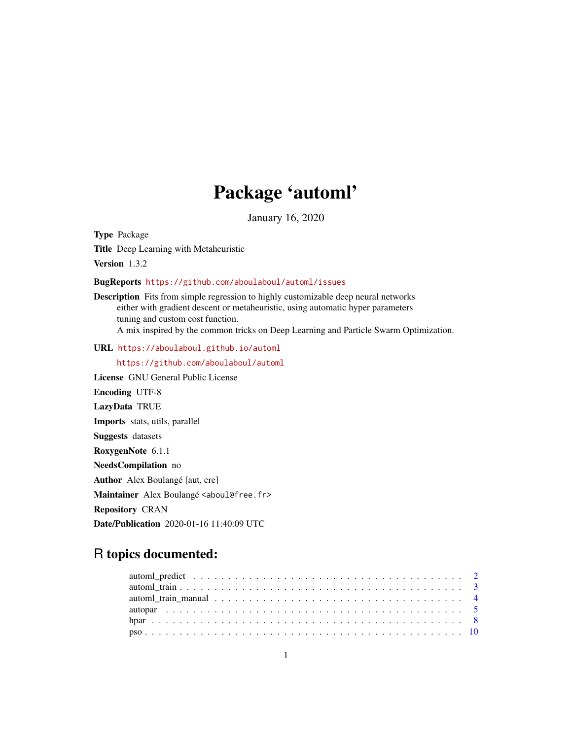## Package 'automl'

January 16, 2020

Type Package

Title Deep Learning with Metaheuristic

Version 1.3.2

BugReports <https://github.com/aboulaboul/automl/issues>

Description Fits from simple regression to highly customizable deep neural networks either with gradient descent or metaheuristic, using automatic hyper parameters tuning and custom cost function. A mix inspired by the common tricks on Deep Learning and Particle Swarm Optimization.

URL <https://aboulaboul.github.io/automl>

<https://github.com/aboulaboul/automl>

License GNU General Public License Encoding UTF-8 LazyData TRUE Imports stats, utils, parallel Suggests datasets RoxygenNote 6.1.1 NeedsCompilation no Author Alex Boulangé [aut, cre] Maintainer Alex Boulangé <aboul@free.fr> Repository CRAN Date/Publication 2020-01-16 11:40:09 UTC

### R topics documented: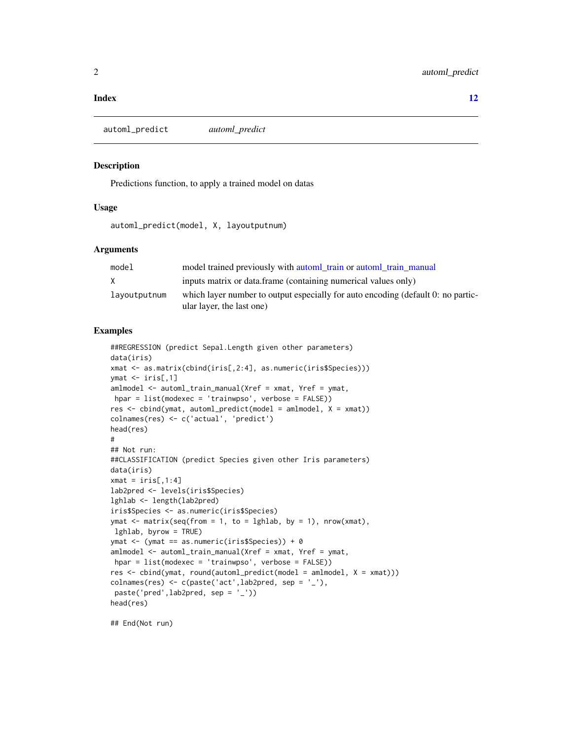#### <span id="page-1-0"></span>**Index** [12](#page-11-0)

automl\_predict *automl\_predict*

#### Description

Predictions function, to apply a trained model on datas

#### Usage

automl\_predict(model, X, layoutputnum)

#### Arguments

| model        | model trained previously with automl train or automl train manual                                             |
|--------------|---------------------------------------------------------------------------------------------------------------|
| X            | inputs matrix or data.frame (containing numerical values only)                                                |
| layoutputnum | which layer number to output especially for auto encoding (default 0: no partic-<br>ular layer, the last one) |

#### Examples

```
##REGRESSION (predict Sepal.Length given other parameters)
data(iris)
xmat <- as.matrix(cbind(iris[,2:4], as.numeric(iris$Species)))
ymat \le iris[,1]
amlmodel <- automl_train_manual(Xref = xmat, Yref = ymat,
hpar = list(modexec = 'trainwpso', verbose = FALSE))
res \leq \text{cbind}(\text{ymat}, \text{automl\_predict}(\text{model} = \text{amlmodel}, \text{X} = \text{ymat}))colnames(res) <- c('actual', 'predict')
head(res)
#
## Not run:
##CLASSIFICATION (predict Species given other Iris parameters)
data(iris)
xmat = iris[,1:4]
lab2pred <- levels(iris$Species)
lghlab <- length(lab2pred)
iris$Species <- as.numeric(iris$Species)
ymat \leq matrix(seq(from = 1, to = lghlab, by = 1), nrow(xmat),
lghlab, byrow = TRUE)
ymat <- (ymat == as.numeric(iris$Species)) + 0
amlmodel <- automl_train_manual(Xref = xmat, Yref = ymat,
hpar = list(modexec = 'trainwpso', verbose = FALSE))
res <- cbind(ymat, round(automl_predict(model = amlmodel, X = xmat)))
colnames(res) <- c(paste('act',lab2pred, sep = '_'),
paste('pred',lab2pred, sep = '_'))
head(res)
```
## End(Not run)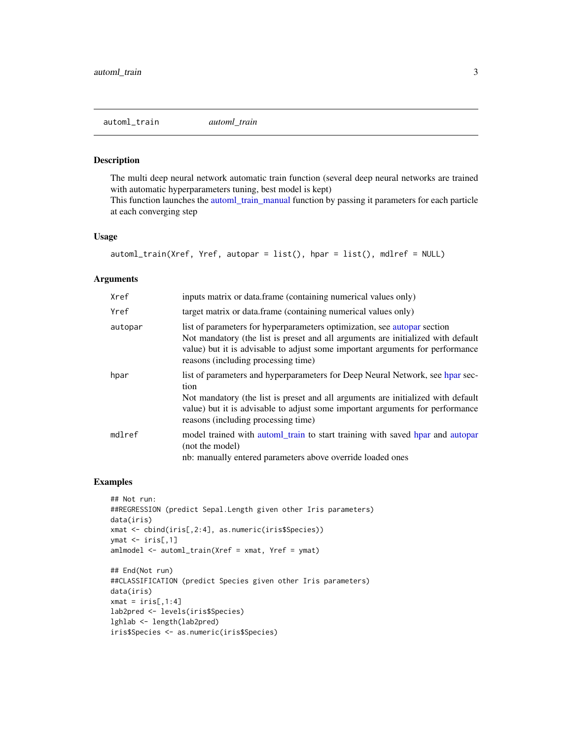#### <span id="page-2-1"></span><span id="page-2-0"></span>Description

The multi deep neural network automatic train function (several deep neural networks are trained with automatic hyperparameters tuning, best model is kept)

This function launches the [automl\\_train\\_manual](#page-3-1) function by passing it parameters for each particle at each converging step

#### Usage

```
automl_train(Xref, Yref, autopar = list(), hpar = list(), mdlref = NULL)
```
#### Arguments

| Xref    | inputs matrix or data.frame (containing numerical values only)                                                                                                                                                                                                                                    |
|---------|---------------------------------------------------------------------------------------------------------------------------------------------------------------------------------------------------------------------------------------------------------------------------------------------------|
| Yref    | target matrix or data.frame (containing numerical values only)                                                                                                                                                                                                                                    |
| autopar | list of parameters for hyperparameters optimization, see autopar section<br>Not mandatory (the list is preset and all arguments are initialized with default<br>value) but it is advisable to adjust some important arguments for performance<br>reasons (including processing time)              |
| hpar    | list of parameters and hyperparameters for Deep Neural Network, see hpar sec-<br>tion<br>Not mandatory (the list is preset and all arguments are initialized with default<br>value) but it is advisable to adjust some important arguments for performance<br>reasons (including processing time) |
| mdlref  | model trained with automl_train to start training with saved hpar and autopar<br>(not the model)<br>nb: manually entered parameters above override loaded ones                                                                                                                                    |

#### Examples

```
## Not run:
##REGRESSION (predict Sepal.Length given other Iris parameters)
data(iris)
xmat <- cbind(iris[,2:4], as.numeric(iris$Species))
ymat <- iris[,1]
amlmodel <- automl_train(Xref = xmat, Yref = ymat)
## End(Not run)
##CLASSIFICATION (predict Species given other Iris parameters)
data(iris)
xmat = iris[,1:4]
lab2pred <- levels(iris$Species)
lghlab <- length(lab2pred)
iris$Species <- as.numeric(iris$Species)
```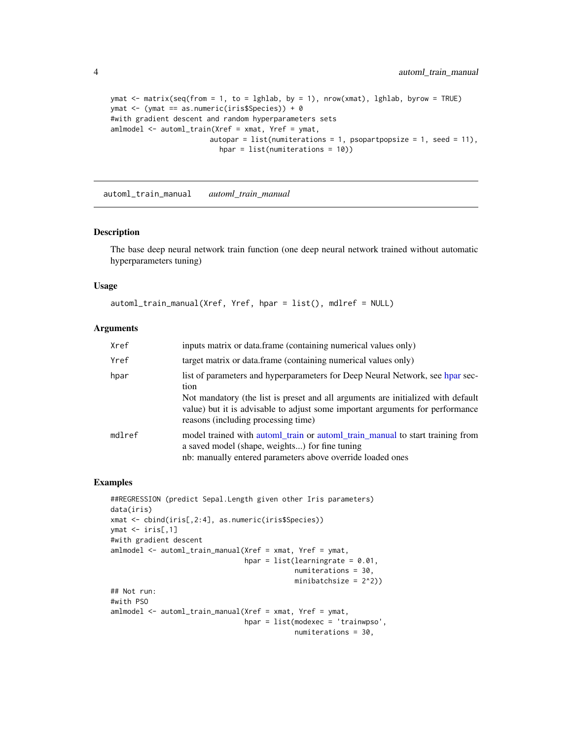```
ymat <- matrix(seq(from = 1, to = lghlab, by = 1), nrow(xmat), lghlab, byrow = TRUE)
ymat <- (ymat == as.numeric(iris$Species)) + 0
#with gradient descent and random hyperparameters sets
amlmodel <- automl_train(Xref = xmat, Yref = ymat,
                       autopar = list(numiterations = 1, psopartpopsize = 1, seed = 11),
                          hpar = list(numiterations = 10))
```
<span id="page-3-1"></span>automl\_train\_manual *automl\_train\_manual*

#### Description

The base deep neural network train function (one deep neural network trained without automatic hyperparameters tuning)

#### Usage

```
automl_train_manual(Xref, Yref, hpar = list(), mdlref = NULL)
```
#### Arguments

| Xref   | inputs matrix or data.frame (containing numerical values only)                                                                                                                                                                                                                                    |
|--------|---------------------------------------------------------------------------------------------------------------------------------------------------------------------------------------------------------------------------------------------------------------------------------------------------|
| Yref   | target matrix or data.frame (containing numerical values only)                                                                                                                                                                                                                                    |
| hpar   | list of parameters and hyperparameters for Deep Neural Network, see hpar sec-<br>tion<br>Not mandatory (the list is preset and all arguments are initialized with default<br>value) but it is advisable to adjust some important arguments for performance<br>reasons (including processing time) |
| mdlref | model trained with automl_train or automl_train_manual to start training from<br>a saved model (shape, weights) for fine tuning<br>nb: manually entered parameters above override loaded ones                                                                                                     |

#### Examples

```
##REGRESSION (predict Sepal.Length given other Iris parameters)
data(iris)
xmat <- cbind(iris[,2:4], as.numeric(iris$Species))
ymat <- iris[,1]
#with gradient descent
amlmodel <- automl_train_manual(Xref = xmat, Yref = ymat,
                                hpar = list(learningrate = 0.01,numiterations = 30,
                                            minibatchsize = 2^2))
## Not run:
#with PSO
amlmodel <- automl_train_manual(Xref = xmat, Yref = ymat,
                                hpar = list(modexec = 'trainwpso',
                                            numiterations = 30,
```
<span id="page-3-0"></span>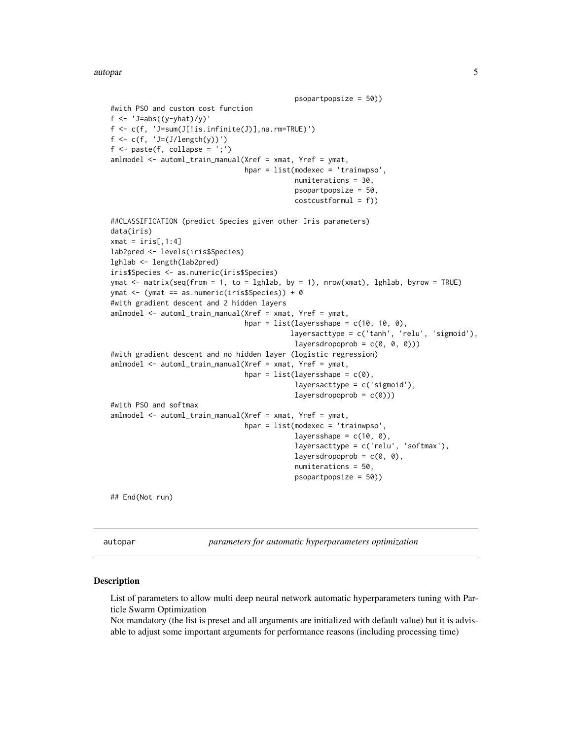```
psopartpopsize = 50))
#with PSO and custom cost function
f <- 'J=abs((y-yhat)/y)'
f \leftarrow c(f, 'J=sum(J[]!is.infinite(J)],na,rm=TRUE)'f <- c(f, 'J=(J/length(y))')
f \leftarrow paste(f, collapse = ';')
amlmodel <- automl_train_manual(Xref = xmat, Yref = ymat,
                                 hpar = list(modexec = 'trainwpso',
                                              numiterations = 30,
                                              psopartpopsize = 50,
                                              costcustformul = f))
##CLASSIFICATION (predict Species given other Iris parameters)
data(iris)
xmat = iris[,1:4]
lab2pred <- levels(iris$Species)
lghlab <- length(lab2pred)
iris$Species <- as.numeric(iris$Species)
ymat <- matrix(seq(from = 1, to = lghlab, by = 1), nrow(xmat), lghlab, byrow = TRUE)
ymat <- (ymat == as.numeric(iris$Species)) + 0
#with gradient descent and 2 hidden layers
amlmodel <- automl_train_manual(Xref = xmat, Yref = ymat,
                                 hpar = list(layersshape = c(10, 10, 0),
                                             layersacttype = c('tanh', 'relu', 'sigmoid'),
                                              layersdropoprob = c(\emptyset, \emptyset, \emptyset))#with gradient descent and no hidden layer (logistic regression)
amlmodel <- automl_train_manual(Xref = xmat, Yref = ymat,
                                 hpar = list(layersshape = c(\emptyset),
                                              layersacttype = c('sigmoid'),
                                              layersdropoprob = c(0)))
#with PSO and softmax
amlmodel <- automl_train_manual(Xref = xmat, Yref = ymat,
                                 hpar = list(modexec = 'trainwpso',
                                              layersshape = c(10, 0),
                                              layersacttype = c('relu', 'softmax'),
                                              layersdropoprob = c(0, 0),
                                              numiterations = 50,
                                              psopartpopsize = 50))
```
## End(Not run)

<span id="page-4-1"></span>autopar *parameters for automatic hyperparameters optimization*

#### Description

List of parameters to allow multi deep neural network automatic hyperparameters tuning with Particle Swarm Optimization

Not mandatory (the list is preset and all arguments are initialized with default value) but it is advisable to adjust some important arguments for performance reasons (including processing time)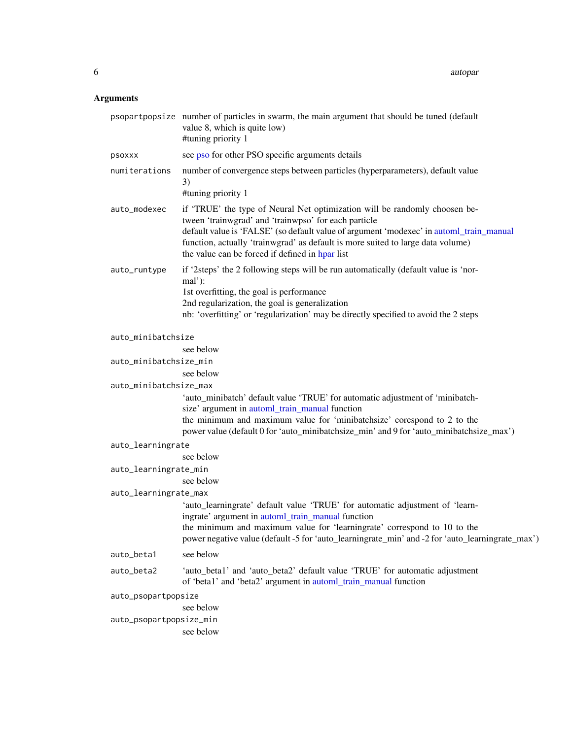#### <span id="page-5-0"></span>Arguments

|                                      | psopartpopsize number of particles in swarm, the main argument that should be tuned (default<br>value 8, which is quite low)<br>#tuning priority 1                                                                                                                                                                                                                  |  |
|--------------------------------------|---------------------------------------------------------------------------------------------------------------------------------------------------------------------------------------------------------------------------------------------------------------------------------------------------------------------------------------------------------------------|--|
| psoxxx                               | see pso for other PSO specific arguments details                                                                                                                                                                                                                                                                                                                    |  |
| numiterations                        | number of convergence steps between particles (hyperparameters), default value<br>3)<br>#tuning priority 1                                                                                                                                                                                                                                                          |  |
| auto_modexec                         | if 'TRUE' the type of Neural Net optimization will be randomly choosen be-<br>tween 'trainwgrad' and 'trainwpso' for each particle<br>default value is 'FALSE' (so default value of argument 'modexec' in automl_train_manual<br>function, actually 'trainwgrad' as default is more suited to large data volume)<br>the value can be forced if defined in hpar list |  |
| auto_runtype                         | if '2steps' the 2 following steps will be run automatically (default value is 'nor-<br>mal'):<br>1st overfitting, the goal is performance<br>2nd regularization, the goal is generalization<br>nb: 'overfitting' or 'regularization' may be directly specified to avoid the 2 steps                                                                                 |  |
| auto_minibatchsize                   |                                                                                                                                                                                                                                                                                                                                                                     |  |
|                                      | see below                                                                                                                                                                                                                                                                                                                                                           |  |
| auto_minibatchsize_min               |                                                                                                                                                                                                                                                                                                                                                                     |  |
|                                      | see below                                                                                                                                                                                                                                                                                                                                                           |  |
| auto_minibatchsize_max               |                                                                                                                                                                                                                                                                                                                                                                     |  |
|                                      | 'auto_minibatch' default value 'TRUE' for automatic adjustment of 'minibatch-<br>size' argument in automl_train_manual function<br>the minimum and maximum value for 'minibatchsize' corespond to 2 to the                                                                                                                                                          |  |
|                                      | power value (default 0 for 'auto_minibatchsize_min' and 9 for 'auto_minibatchsize_max')                                                                                                                                                                                                                                                                             |  |
| auto_learningrate                    |                                                                                                                                                                                                                                                                                                                                                                     |  |
|                                      | see below                                                                                                                                                                                                                                                                                                                                                           |  |
| auto_learningrate_min                | see below                                                                                                                                                                                                                                                                                                                                                           |  |
|                                      |                                                                                                                                                                                                                                                                                                                                                                     |  |
| auto_learningrate_max                | 'auto_learningrate' default value 'TRUE' for automatic adjustment of 'learn-                                                                                                                                                                                                                                                                                        |  |
|                                      | ingrate' argument in automl_train_manual function<br>the minimum and maximum value for 'learningrate' correspond to 10 to the                                                                                                                                                                                                                                       |  |
|                                      | power negative value (default -5 for 'auto_learningrate_min' and -2 for 'auto_learningrate_max')                                                                                                                                                                                                                                                                    |  |
| auto_beta1                           | see below                                                                                                                                                                                                                                                                                                                                                           |  |
| auto_beta2                           | 'auto_beta1' and 'auto_beta2' default value 'TRUE' for automatic adjustment<br>of 'beta1' and 'beta2' argument in automl_train_manual function                                                                                                                                                                                                                      |  |
| auto_psopartpopsize                  |                                                                                                                                                                                                                                                                                                                                                                     |  |
| see below<br>auto_psopartpopsize_min |                                                                                                                                                                                                                                                                                                                                                                     |  |
|                                      | see below                                                                                                                                                                                                                                                                                                                                                           |  |
|                                      |                                                                                                                                                                                                                                                                                                                                                                     |  |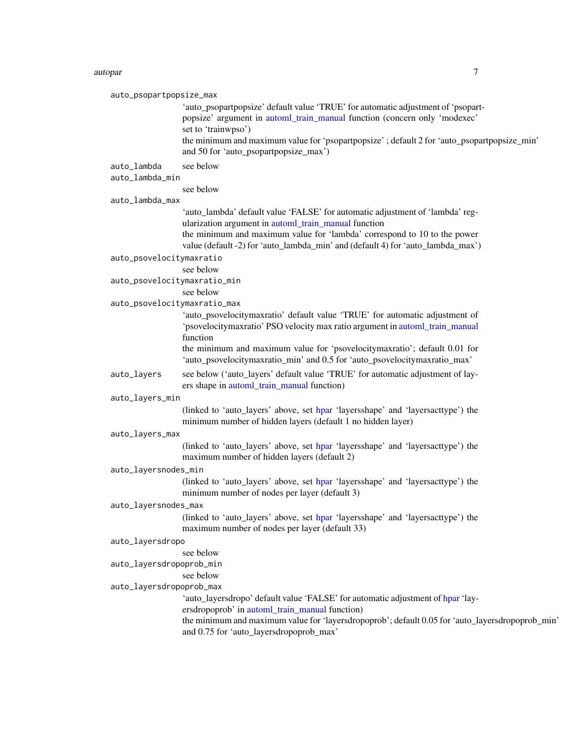#### <span id="page-6-0"></span>autopar 70 autor 2008 autor 2008 autor 2008 autor 2008 autor 2008 autor 2008 autor 2008 autor 2008 autor 2008

| auto_psopartpopsize_max      |                                                                                                                                                               |
|------------------------------|---------------------------------------------------------------------------------------------------------------------------------------------------------------|
|                              | 'auto_psopartpopsize' default value 'TRUE' for automatic adjustment of 'psopart-<br>popsize' argument in automl_train_manual function (concern only 'modexec' |
|                              | set to 'trainwpso')                                                                                                                                           |
|                              | the minimum and maximum value for 'psopartpopsize' ; default 2 for 'auto_psopartpopsize_min'<br>and 50 for 'auto_psopartpopsize_max')                         |
| auto_lambda                  | see below                                                                                                                                                     |
| auto_lambda_min              |                                                                                                                                                               |
| auto_lambda_max              | see below                                                                                                                                                     |
|                              | 'auto_lambda' default value 'FALSE' for automatic adjustment of 'lambda' reg-                                                                                 |
|                              | ularization argument in automl_train_manual function                                                                                                          |
|                              | the minimum and maximum value for 'lambda' correspond to 10 to the power                                                                                      |
|                              | value (default -2) for 'auto_lambda_min' and (default 4) for 'auto_lambda_max')                                                                               |
| auto_psovelocitymaxratio     |                                                                                                                                                               |
|                              | see below                                                                                                                                                     |
| auto_psovelocitymaxratio_min |                                                                                                                                                               |
| auto_psovelocitymaxratio_max | see below                                                                                                                                                     |
|                              | 'auto_psovelocitymaxratio' default value 'TRUE' for automatic adjustment of                                                                                   |
|                              | 'psovelocitymaxratio' PSO velocity max ratio argument in automl_train_manual                                                                                  |
|                              | function                                                                                                                                                      |
|                              | the minimum and maximum value for 'psovelocitymaxratio'; default 0.01 for<br>'auto_psovelocitymaxratio_min' and 0.5 for 'auto_psovelocitymaxratio_max'        |
| auto_layers                  | see below ('auto_layers' default value 'TRUE' for automatic adjustment of lay-<br>ers shape in automl_train_manual function)                                  |
| auto_layers_min              |                                                                                                                                                               |
|                              | (linked to 'auto_layers' above, set hpar 'layersshape' and 'layersacttype') the<br>minimum number of hidden layers (default 1 no hidden layer)                |
| auto_layers_max              |                                                                                                                                                               |
|                              | (linked to 'auto_layers' above, set hpar 'layersshape' and 'layersacttype') the<br>maximum number of hidden layers (default 2)                                |
| auto_layersnodes_min         |                                                                                                                                                               |
|                              | (linked to 'auto_layers' above, set hpar 'layersshape' and 'layersacttype') the<br>minimum number of nodes per layer (default 3)                              |
| auto_layersnodes_max         |                                                                                                                                                               |
|                              | (linked to 'auto_layers' above, set hpar 'layersshape' and 'layersacttype') the<br>maximum number of nodes per layer (default 33)                             |
| auto_layersdropo             |                                                                                                                                                               |
|                              | see below                                                                                                                                                     |
| auto_layersdropoprob_min     | see below                                                                                                                                                     |
| auto_layersdropoprob_max     |                                                                                                                                                               |
|                              | 'auto_layersdropo' default value 'FALSE' for automatic adjustment of hpar 'lay-                                                                               |
|                              | ersdropoprob' in automl_train_manual function)                                                                                                                |
|                              | the minimum and maximum value for 'layersdropoprob'; default 0.05 for 'auto_layersdropoprob_min'<br>and 0.75 for 'auto_layersdropoprob_max'                   |
|                              |                                                                                                                                                               |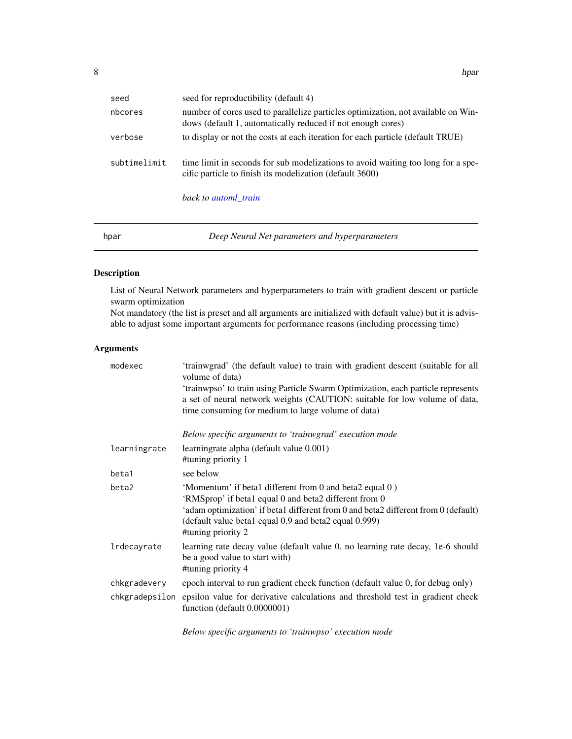<span id="page-7-0"></span>

| seed         | seed for reproductibility (default 4)                                                                                                            |
|--------------|--------------------------------------------------------------------------------------------------------------------------------------------------|
| nbcores      | number of cores used to parallelize particles optimization, not available on Win-<br>dows (default 1, automatically reduced if not enough cores) |
| verbose      | to display or not the costs at each iteration for each particle (default TRUE)                                                                   |
| subtimelimit | time limit in seconds for sub modelizations to avoid waiting too long for a spe-<br>cific particle to finish its modelization (default 3600)     |
|              | back to automl_train                                                                                                                             |

<span id="page-7-1"></span>

| Deep Neural Net parameters and hyperparameters<br>hpar |  |
|--------------------------------------------------------|--|
|--------------------------------------------------------|--|

#### Description

List of Neural Network parameters and hyperparameters to train with gradient descent or particle swarm optimization

Not mandatory (the list is preset and all arguments are initialized with default value) but it is advisable to adjust some important arguments for performance reasons (including processing time)

#### Arguments

| modexec        | 'trainwgrad' (the default value) to train with gradient descent (suitable for all<br>volume of data)                                                                                                                                                                                  |
|----------------|---------------------------------------------------------------------------------------------------------------------------------------------------------------------------------------------------------------------------------------------------------------------------------------|
|                | 'trainwpso' to train using Particle Swarm Optimization, each particle represents<br>a set of neural network weights (CAUTION: suitable for low volume of data,                                                                                                                        |
|                | time consuming for medium to large volume of data)                                                                                                                                                                                                                                    |
|                | Below specific arguments to 'trainwgrad' execution mode                                                                                                                                                                                                                               |
| learningrate   | learningrate alpha (default value 0.001)<br>#tuning priority 1                                                                                                                                                                                                                        |
| beta1          | see below                                                                                                                                                                                                                                                                             |
| beta2          | 'Momentum' if betal different from 0 and beta2 equal 0)<br>'RMSprop' if beta1 equal 0 and beta2 different from 0<br>'adam optimization' if beta1 different from 0 and beta2 different from 0 (default)<br>(default value beta1 equal 0.9 and beta2 equal 0.999)<br>#tuning priority 2 |
| lrdecayrate    | learning rate decay value (default value 0, no learning rate decay, 1e-6 should<br>be a good value to start with)<br>#tuning priority 4                                                                                                                                               |
| chkgradevery   | epoch interval to run gradient check function (default value 0, for debug only)                                                                                                                                                                                                       |
| chkgradepsilon | epsilon value for derivative calculations and threshold test in gradient check<br>function (default 0.0000001)                                                                                                                                                                        |

*Below specific arguments to 'trainwpso' execution mode*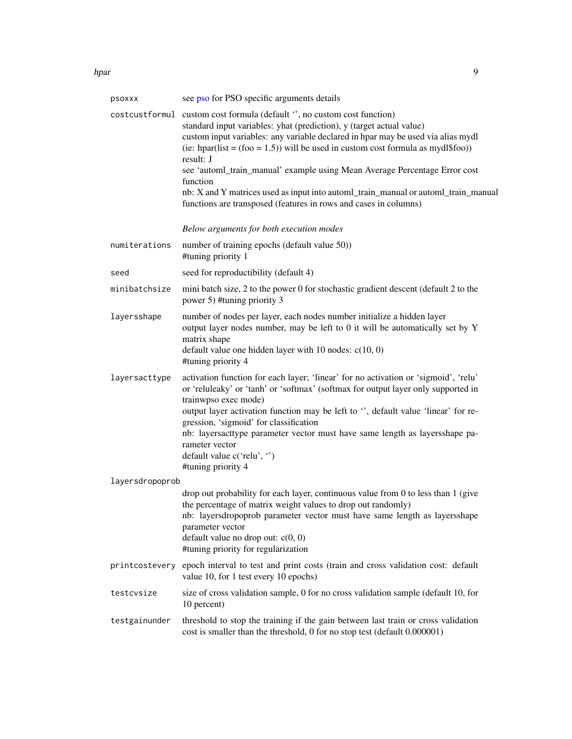<span id="page-8-0"></span>hpar 99 September 2014 and 2014 and 2014 and 2014 and 2014 and 2014 and 2014 and 2014 and 2014 and 2014 and 20

| psoxxx          | see pso for PSO specific arguments details                                                                                                                                                                                                                                                                                              |
|-----------------|-----------------------------------------------------------------------------------------------------------------------------------------------------------------------------------------------------------------------------------------------------------------------------------------------------------------------------------------|
|                 | costcustformul custom cost formula (default ", no custom cost function)<br>standard input variables: yhat (prediction), y (target actual value)<br>custom input variables: any variable declared in hpar may be used via alias mydl<br>(ie: hpar(list = $(foo = 1.5)$ ) will be used in custom cost formula as mydl\$foo))<br>result: J |
|                 | see 'automl_train_manual' example using Mean Average Percentage Error cost<br>function                                                                                                                                                                                                                                                  |
|                 | nb: X and Y matrices used as input into automl_train_manual or automl_train_manual<br>functions are transposed (features in rows and cases in columns)                                                                                                                                                                                  |
|                 | Below arguments for both execution modes                                                                                                                                                                                                                                                                                                |
| numiterations   | number of training epochs (default value 50))<br>#tuning priority 1                                                                                                                                                                                                                                                                     |
| seed            | seed for reproductibility (default 4)                                                                                                                                                                                                                                                                                                   |
| minibatchsize   | mini batch size, 2 to the power 0 for stochastic gradient descent (default 2 to the<br>power 5) #tuning priority 3                                                                                                                                                                                                                      |
| layersshape     | number of nodes per layer, each nodes number initialize a hidden layer<br>output layer nodes number, may be left to 0 it will be automatically set by Y<br>matrix shape                                                                                                                                                                 |
|                 | default value one hidden layer with 10 nodes: $c(10, 0)$<br>#tuning priority 4                                                                                                                                                                                                                                                          |
| layersacttype   | activation function for each layer; 'linear' for no activation or 'sigmoid', 'relu'<br>or 'reluleaky' or 'tanh' or 'softmax' (softmax for output layer only supported in<br>trainwpso exec mode)                                                                                                                                        |
|                 | output layer activation function may be left to ", default value 'linear' for re-<br>gression, 'sigmoid' for classification                                                                                                                                                                                                             |
|                 | nb: layersacttype parameter vector must have same length as layersshape pa-<br>rameter vector                                                                                                                                                                                                                                           |
|                 | default value c('relu', ")<br>#tuning priority 4                                                                                                                                                                                                                                                                                        |
| layersdropoprob |                                                                                                                                                                                                                                                                                                                                         |
|                 | drop out probability for each layer, continuous value from 0 to less than 1 (give<br>the percentage of matrix weight values to drop out randomly)<br>nb: layersdropoprob parameter vector must have same length as layersshape<br>parameter vector<br>default value no drop out: $c(0, 0)$<br>#tuning priority for regularization       |
|                 | printcostevery epoch interval to test and print costs (train and cross validation cost: default<br>value 10, for 1 test every 10 epochs)                                                                                                                                                                                                |
| testcvsize      | size of cross validation sample, 0 for no cross validation sample (default 10, for<br>10 percent)                                                                                                                                                                                                                                       |
| testgainunder   | threshold to stop the training if the gain between last train or cross validation<br>cost is smaller than the threshold, 0 for no stop test (default 0.000001)                                                                                                                                                                          |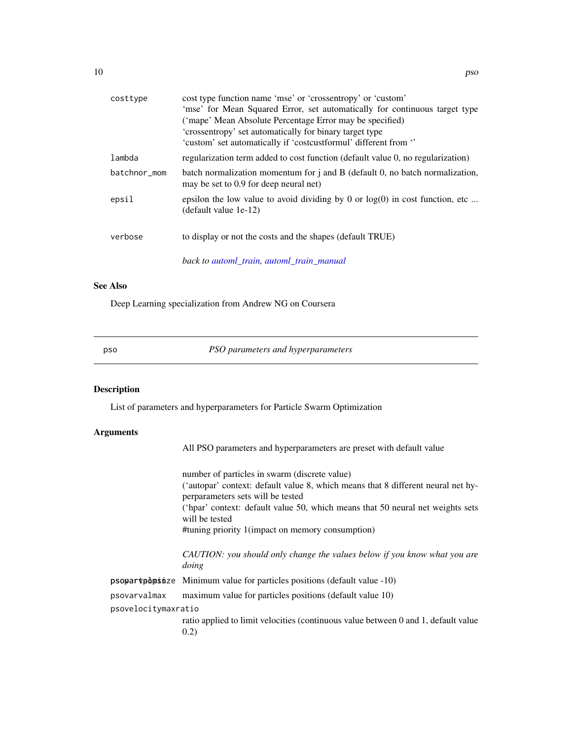<span id="page-9-0"></span>

| costtype     | cost type function name 'mse' or 'crossentropy' or 'custom'<br>'mse' for Mean Squared Error, set automatically for continuous target type<br>('mape' Mean Absolute Percentage Error may be specified)<br>'crossentropy' set automatically for binary target type<br>'custom' set automatically if 'costcustformul' different from " |
|--------------|-------------------------------------------------------------------------------------------------------------------------------------------------------------------------------------------------------------------------------------------------------------------------------------------------------------------------------------|
| lambda       | regularization term added to cost function (default value 0, no regularization)                                                                                                                                                                                                                                                     |
| batchnor_mom | batch normalization momentum for $\mathbf{j}$ and $\mathbf{B}$ (default 0, no batch normalization,<br>may be set to 0.9 for deep neural net)                                                                                                                                                                                        |
| epsil        | epsilon the low value to avoid dividing by 0 or $log(0)$ in cost function, etc<br>(default value 1e-12)                                                                                                                                                                                                                             |
| verbose      | to display or not the costs and the shapes (default TRUE)                                                                                                                                                                                                                                                                           |
|              | back to automl_train, automl_train_manual                                                                                                                                                                                                                                                                                           |

#### See Also

Deep Learning specialization from Andrew NG on Coursera

<span id="page-9-1"></span>

pso *PSO parameters and hyperparameters*

#### Description

List of parameters and hyperparameters for Particle Swarm Optimization

#### Arguments

All PSO parameters and hyperparameters are preset with default value

number of particles in swarm (discrete value) ('autopar' context: default value 8, which means that 8 different neural net hyperparameters sets will be tested ('hpar' context: default value 50, which means that 50 neural net weights sets will be tested #tuning priority 1(impact on memory consumption)

*CAUTION: you should only change the values below if you know what you are doing*

 $p$ sopart $p$ d $p$ sinze Minimum value for particles positions (default value -10)

psovarvalmax maximum value for particles positions (default value 10)

psovelocitymaxratio

ratio applied to limit velocities (continuous value between 0 and 1, default value 0.2)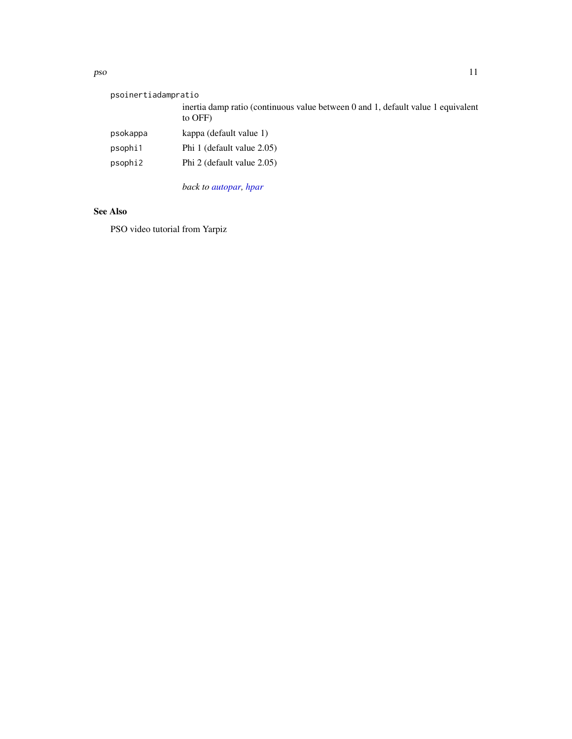#### <span id="page-10-0"></span>pso the contract of the contract of the contract of the contract of the contract of the contract of the contract of the contract of the contract of the contract of the contract of the contract of the contract of the contra

| psoinertiadampratio |                                                                                             |
|---------------------|---------------------------------------------------------------------------------------------|
|                     | inertia damp ratio (continuous value between 0 and 1, default value 1 equivalent<br>to OFF) |
| psokappa            | kappa (default value 1)                                                                     |
| psophi1             | Phi 1 (default value 2.05)                                                                  |
| psophi2             | Phi 2 (default value 2.05)                                                                  |
|                     | back to autopar, hpar                                                                       |

#### See Also

PSO video tutorial from Yarpiz